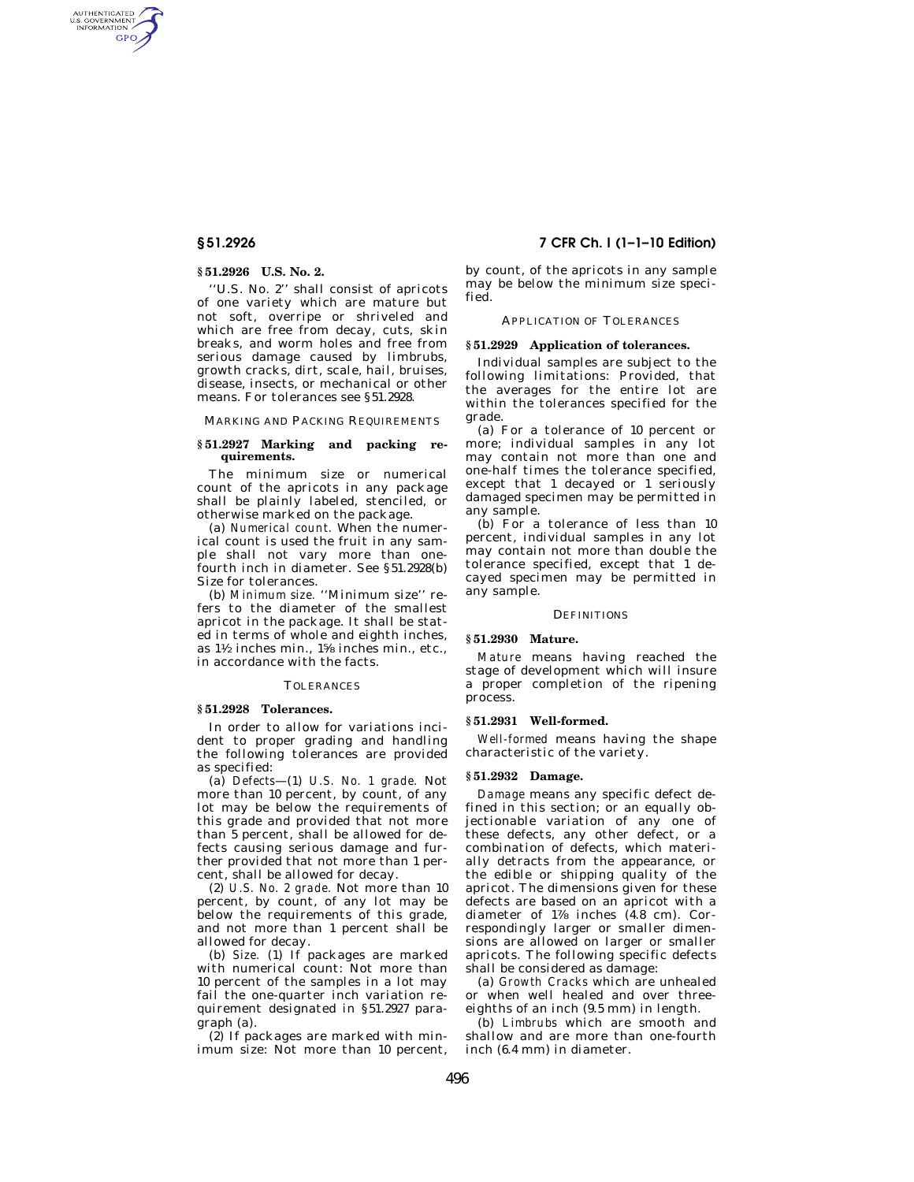AUTHENTICATED<br>U.S. GOVERNMENT<br>INFORMATION **GPO** 

# **§ 51.2926 U.S. No. 2.**

''U.S. No. 2'' shall consist of apricots of one variety which are mature but not soft, overripe or shriveled and which are free from decay, cuts, skin breaks, and worm holes and free from serious damage caused by limbrubs, growth cracks, dirt, scale, hail, bruises, disease, insects, or mechanical or other means. For tolerances see §51.2928.

MARKING AND PACKING REQUIREMENTS

## **§ 51.2927 Marking and packing requirements.**

The minimum size or numerical count of the apricots in any package shall be plainly labeled, stenciled, or otherwise marked on the package.

(a) *Numerical count.* When the numerical count is used the fruit in any sample shall not vary more than onefourth inch in diameter. See §51.2928(b) Size for tolerances.

(b) *Minimum size.* ''Minimum size'' refers to the diameter of the smallest apricot in the package. It shall be stated in terms of whole and eighth inches, as 11⁄2 inches min., 15⁄8 inches min., etc., in accordance with the facts.

#### TOLERANCES

# **§ 51.2928 Tolerances.**

In order to allow for variations incident to proper grading and handling the following tolerances are provided as specified:

(a) *Defects*—(1) *U.S. No. 1 grade.* Not more than 10 percent, by count, of any lot may be below the requirements of this grade and provided that not more than 5 percent, shall be allowed for defects causing serious damage and further provided that not more than 1 percent, shall be allowed for decay.

(2) *U.S. No. 2 grade.* Not more than 10 percent, by count, of any lot may be below the requirements of this grade, and not more than 1 percent shall be allowed for decay.

(b) *Size.* (1) If packages are marked with numerical count: Not more than 10 percent of the samples in a lot may fail the one-quarter inch variation requirement designated in §51.2927 paragraph (a).

(2) If packages are marked with minimum size: Not more than 10 percent,

# **§ 51.2926 7 CFR Ch. I (1–1–10 Edition)**

by count, of the apricots in any sample may be below the minimum size specified.

## APPLICATION OF TOLERANCES

### **§ 51.2929 Application of tolerances.**

Individual samples are subject to the following limitations: Provided, that the averages for the entire lot are within the tolerances specified for the grade.

(a) For a tolerance of 10 percent or more; individual samples in any lot may contain not more than one and one-half times the tolerance specified, except that 1 decayed or 1 seriously damaged specimen may be permitted in any sample.

(b) For a tolerance of less than 10 percent, individual samples in any lot may contain not more than double the tolerance specified, except that 1 decayed specimen may be permitted in any sample.

### **DEFINITIONS**

#### **§ 51.2930 Mature.**

*Mature* means having reached the stage of development which will insure a proper completion of the ripening process.

### **§ 51.2931 Well-formed.**

*Well-formed* means having the shape characteristic of the variety.

#### **§ 51.2932 Damage.**

*Damage* means any specific defect defined in this section; or an equally objectionable variation of any one of these defects, any other defect, or a combination of defects, which materially detracts from the appearance, or the edible or shipping quality of the apricot. The dimensions given for these defects are based on an apricot with a diameter of  $1\%$  inches  $(4.8 \text{ cm})$ . Correspondingly larger or smaller dimensions are allowed on larger or smaller apricots. The following specific defects shall be considered as damage:

(a) *Growth Cracks* which are unhealed or when well healed and over threeeighths of an inch (9.5 mm) in length.

(b) *Limbrubs* which are smooth and shallow and are more than one-fourth inch (6.4 mm) in diameter.